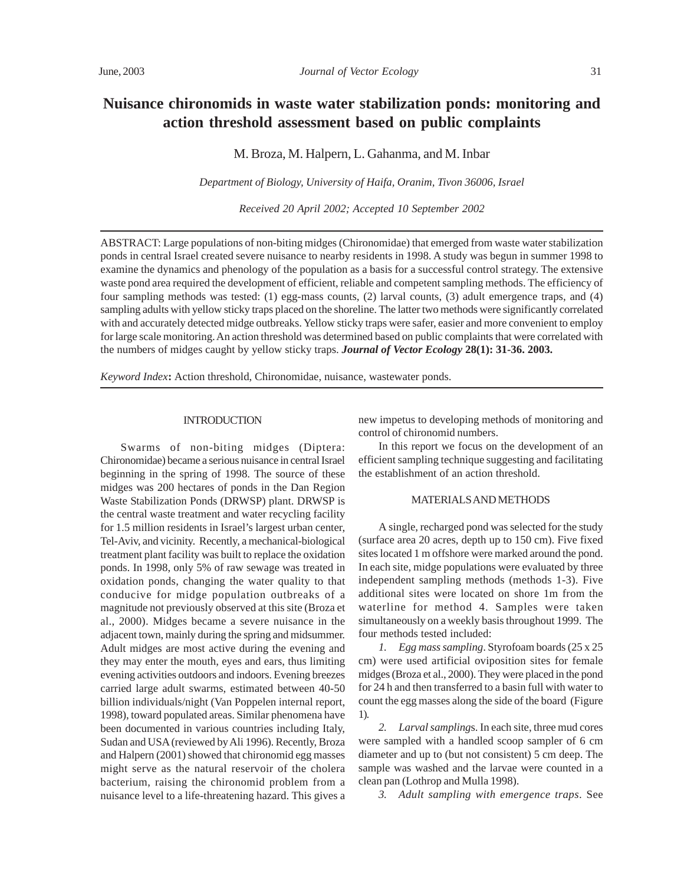# **Nuisance chironomids in waste water stabilization ponds: monitoring and action threshold assessment based on public complaints**

M. Broza, M. Halpern, L. Gahanma, and M. Inbar

*Department of Biology, University of Haifa, Oranim, Tivon 36006, Israel*

*Received 20 April 2002; Accepted 10 September 2002*

ABSTRACT: Large populations of non-biting midges(Chironomidae) that emerged from waste water stabilization ponds in central Israel created severe nuisance to nearby residents in 1998. A study was begun in summer 1998 to examine the dynamics and phenology of the population as a basis for a successful control strategy. The extensive waste pond area required the development of efficient, reliable and competent sampling methods. The efficiency of four sampling methods was tested: (1) egg-mass counts, (2) larval counts, (3) adult emergence traps, and (4) sampling adults with yellow sticky traps placed on the shoreline. The latter two methods were significantly correlated with and accurately detected midge outbreaks. Yellow sticky traps were safer, easier and more convenient to employ for large scale monitoring. An action threshold was determined based on public complaints that were correlated with the numbers of midges caught by yellow sticky traps. *Journal of Vector Ecology* **28(1): 31-36. 2003.**

*Keyword Index***:** Action threshold, Chironomidae, nuisance, wastewater ponds.

## **INTRODUCTION**

Swarms of non-biting midges (Diptera: Chironomidae) became a serious nuisance in central Israel beginning in the spring of 1998. The source of these midges was 200 hectares of ponds in the Dan Region Waste Stabilization Ponds (DRWSP) plant. DRWSP is the central waste treatment and water recycling facility for 1.5 million residents in Israel's largest urban center, Tel-Aviv, and vicinity. Recently, a mechanical-biological treatment plant facility was built to replace the oxidation ponds. In 1998, only 5% of raw sewage was treated in oxidation ponds, changing the water quality to that conducive for midge population outbreaks of a magnitude not previously observed at this site (Broza et al., 2000). Midges became a severe nuisance in the adjacent town, mainly during the spring and midsummer. Adult midges are most active during the evening and they may enter the mouth, eyes and ears, thus limiting evening activities outdoors and indoors. Evening breezes carried large adult swarms, estimated between 40-50 billion individuals/night (Van Poppelen internal report, 1998), toward populated areas. Similar phenomena have been documented in various countries including Italy, Sudan and USA (reviewed by Ali 1996). Recently, Broza and Halpern (2001) showed that chironomid egg masses might serve as the natural reservoir of the cholera bacterium, raising the chironomid problem from a nuisance level to a life-threatening hazard. This gives a new impetus to developing methods of monitoring and control of chironomid numbers.

In this report we focus on the development of an efficient sampling technique suggesting and facilitating the establishment of an action threshold.

#### MATERIALS AND METHODS

A single, recharged pond was selected for the study (surface area 20 acres, depth up to 150 cm). Five fixed sites located 1 m offshore were marked around the pond. In each site, midge populations were evaluated by three independent sampling methods (methods 1-3). Five additional sites were located on shore 1m from the waterline for method 4. Samples were taken simultaneously on a weekly basis throughout 1999. The four methods tested included:

*1. Egg mass sampling*. Styrofoam boards (25 x 25 cm) were used artificial oviposition sites for female midges (Broza et al., 2000). They were placed in the pond for 24 h and then transferred to a basin full with water to count the egg masses along the side of the board (Figure 1).

*2. Larval sampling*s. In each site, three mud cores were sampled with a handled scoop sampler of 6 cm diameter and up to (but not consistent) 5 cm deep. The sample was washed and the larvae were counted in a clean pan (Lothrop and Mulla 1998).

*3. Adult sampling with emergence traps*. See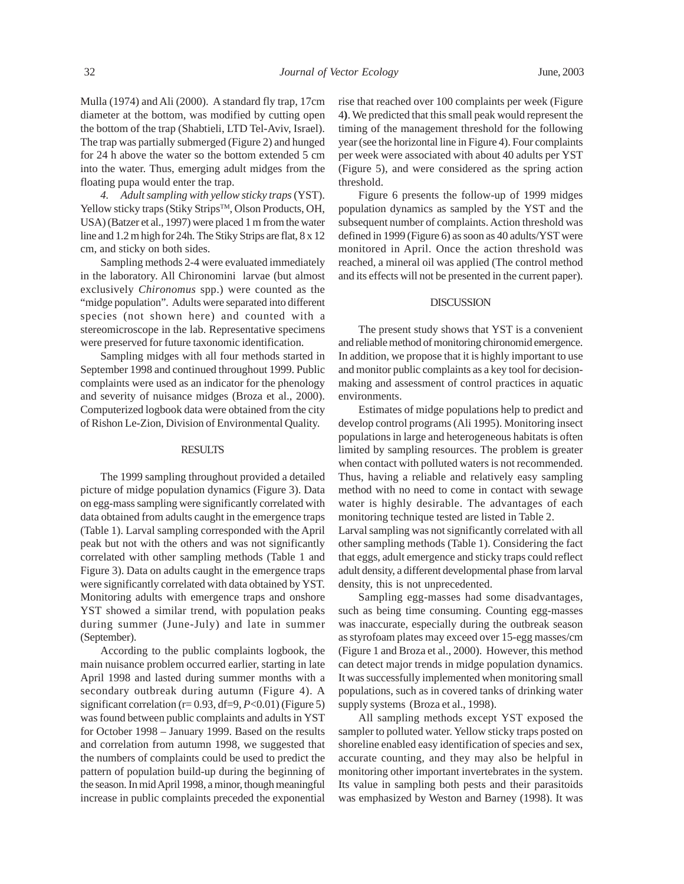Mulla (1974) and Ali (2000). A standard fly trap, 17cm diameter at the bottom, was modified by cutting open the bottom of the trap (Shabtieli, LTD Tel-Aviv, Israel). The trap was partially submerged (Figure 2) and hunged for 24 h above the water so the bottom extended 5 cm into the water. Thus, emerging adult midges from the floating pupa would enter the trap.

*4. Adult sampling with yellow sticky traps* (YST). Yellow sticky traps (Stiky Strips™, Olson Products, OH, USA) (Batzer et al., 1997) were placed 1 m from the water line and 1.2 m high for 24h. The Stiky Strips are flat, 8 x 12 cm, and sticky on both sides.

Sampling methods 2-4 were evaluated immediately in the laboratory. All Chironomini larvae (but almost exclusively *Chironomus* spp.) were counted as the "midge population". Adults were separated into different species (not shown here) and counted with a stereomicroscope in the lab. Representative specimens were preserved for future taxonomic identification.

Sampling midges with all four methods started in September 1998 and continued throughout 1999. Public complaints were used as an indicator for the phenology and severity of nuisance midges (Broza et al., 2000). Computerized logbook data were obtained from the city of Rishon Le-Zion, Division of Environmental Quality.

### **RESULTS**

The 1999 sampling throughout provided a detailed picture of midge population dynamics (Figure 3). Data on egg-mass sampling were significantly correlated with data obtained from adults caught in the emergence traps (Table 1). Larval sampling corresponded with the April peak but not with the others and was not significantly correlated with other sampling methods (Table 1 and Figure 3). Data on adults caught in the emergence traps were significantly correlated with data obtained by YST. Monitoring adults with emergence traps and onshore YST showed a similar trend, with population peaks during summer (June-July) and late in summer (September).

According to the public complaints logbook, the main nuisance problem occurred earlier, starting in late April 1998 and lasted during summer months with a secondary outbreak during autumn (Figure 4). A significant correlation (r= 0.93, df=9, *P*<0.01) (Figure 5) was found between public complaints and adults in YST for October 1998 – January 1999. Based on the results and correlation from autumn 1998, we suggested that the numbers of complaints could be used to predict the pattern of population build-up during the beginning of the season. In mid April 1998, a minor, though meaningful increase in public complaints preceded the exponential rise that reached over 100 complaints per week (Figure 4**)**. We predicted that this small peak would represent the timing of the management threshold for the following year (see the horizontal line in Figure 4). Four complaints per week were associated with about 40 adults per YST (Figure 5), and were considered as the spring action threshold.

Figure 6 presents the follow-up of 1999 midges population dynamics as sampled by the YST and the subsequent number of complaints. Action threshold was defined in 1999 (Figure 6) as soon as 40 adults/YST were monitored in April. Once the action threshold was reached, a mineral oil was applied (The control method and its effects will not be presented in the current paper).

## DISCUSSION

The present study shows that YST is a convenient and reliable method of monitoring chironomid emergence. In addition, we propose that it is highly important to use and monitor public complaints as a key tool for decisionmaking and assessment of control practices in aquatic environments.

Estimates of midge populations help to predict and develop control programs (Ali 1995). Monitoring insect populations in large and heterogeneous habitats is often limited by sampling resources. The problem is greater when contact with polluted waters is not recommended. Thus, having a reliable and relatively easy sampling method with no need to come in contact with sewage water is highly desirable. The advantages of each monitoring technique tested are listed in Table 2. Larval sampling was not significantly correlated with all other sampling methods (Table 1). Considering the fact that eggs, adult emergence and sticky traps could reflect adult density, a different developmental phase from larval density, this is not unprecedented.

Sampling egg-masses had some disadvantages, such as being time consuming. Counting egg-masses was inaccurate, especially during the outbreak season as styrofoam plates may exceed over 15-egg masses/cm (Figure 1 and Broza et al., 2000). However, this method can detect major trends in midge population dynamics. It was successfully implemented when monitoring small populations, such as in covered tanks of drinking water supply systems (Broza et al., 1998).

All sampling methods except YST exposed the sampler to polluted water. Yellow sticky traps posted on shoreline enabled easy identification of species and sex, accurate counting, and they may also be helpful in monitoring other important invertebrates in the system. Its value in sampling both pests and their parasitoids was emphasized by Weston and Barney (1998). It was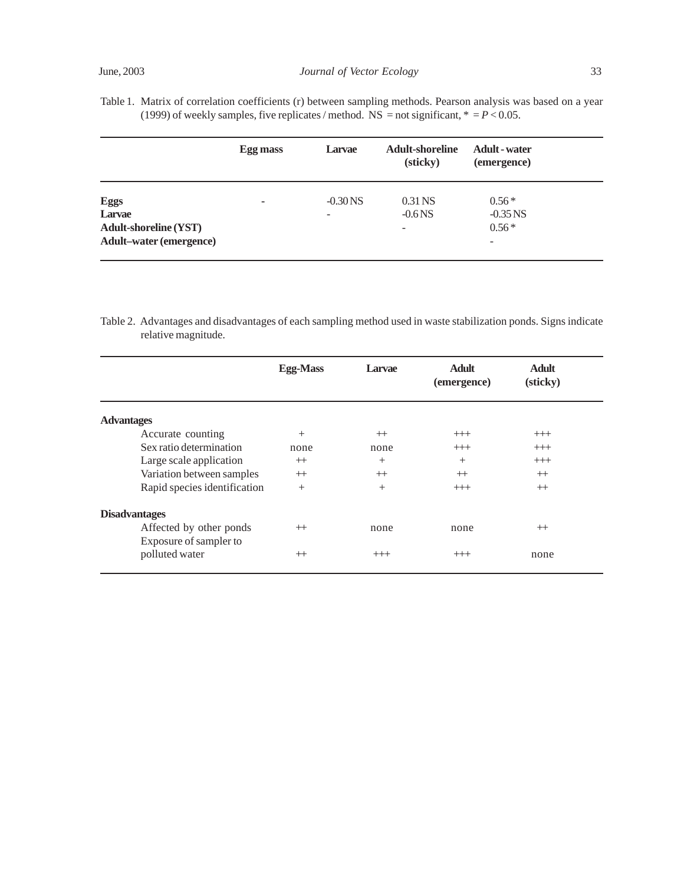Table 1. Matrix of correlation coefficients (r) between sampling methods. Pearson analysis was based on a year (1999) of weekly samples, five replicates / method. NS = not significant,  $* = P < 0.05$ .

|                                | Egg mass | Larvae     | <b>Adult-shoreline</b><br>(sticky) | <b>Adult</b> - water<br>(emergence) |
|--------------------------------|----------|------------|------------------------------------|-------------------------------------|
| <b>Eggs</b>                    | ۰        | $-0.30$ NS | $0.31$ NS                          | $0.56*$                             |
| Larvae                         |          |            | $-0.6$ NS                          | $-0.35$ NS                          |
| <b>Adult-shoreline (YST)</b>   |          |            | $\overline{\phantom{a}}$           | $0.56*$                             |
| <b>Adult-water (emergence)</b> |          |            |                                    | -                                   |

Table 2. Advantages and disadvantages of each sampling method used in waste stabilization ponds. Signs indicate relative magnitude.

|                                          | <b>Egg-Mass</b> | Larvae  | <b>Adult</b><br>(emergence) | <b>Adult</b><br>(sticky) |  |
|------------------------------------------|-----------------|---------|-----------------------------|--------------------------|--|
| <b>Advantages</b>                        |                 |         |                             |                          |  |
| Accurate counting                        | $^{+}$          | $^{++}$ | $++$                        | $++$                     |  |
| Sex ratio determination                  | none            | none    | $++$                        | $++$                     |  |
| Large scale application                  | $^{++}$         | $^{+}$  | $^{+}$                      | $++$                     |  |
| Variation between samples                | $^{++}$         | $^{++}$ | $^{++}$                     | $^{++}$                  |  |
| Rapid species identification             | $^{+}$          | $^{+}$  | $++$                        | $^{++}$                  |  |
| <b>Disadvantages</b>                     |                 |         |                             |                          |  |
| Affected by other ponds                  | $^{++}$         | none    | none                        | $^{++}$                  |  |
| Exposure of sampler to<br>polluted water | $^{++}$         | $++$    | $++$                        | none                     |  |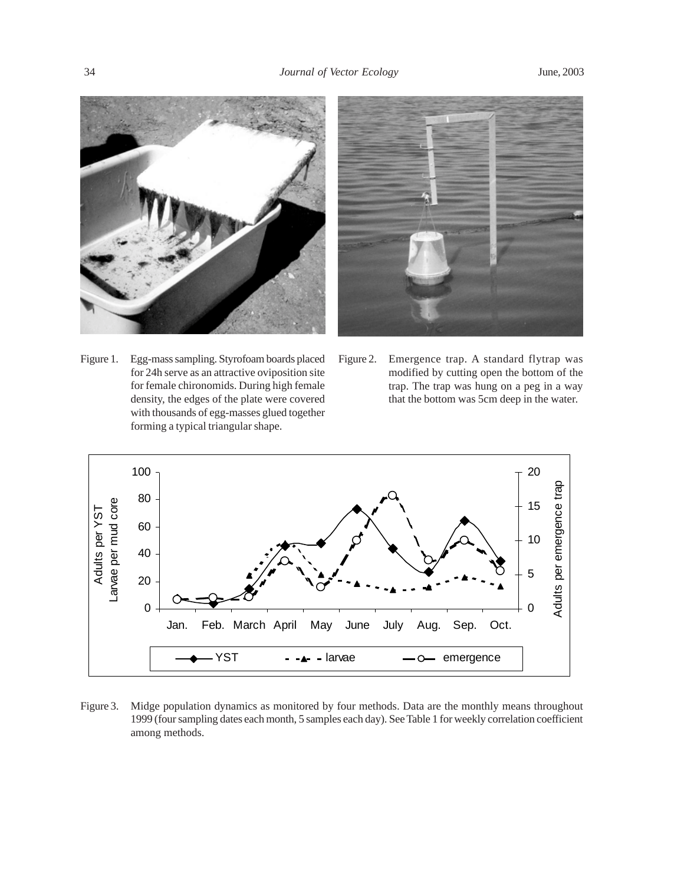



- Figure 1. Egg-mass sampling. Styrofoam boards placed for 24h serve as an attractive oviposition site for female chironomids. During high female density, the edges of the plate were covered with thousands of egg-masses glued together forming a typical triangular shape.
- Figure 2. Emergence trap. A standard flytrap was modified by cutting open the bottom of the trap. The trap was hung on a peg in a way that the bottom was 5cm deep in the water.



Figure 3. Midge population dynamics as monitored by four methods. Data are the monthly means throughout 1999 (four sampling dates each month, 5 samples each day). See Table 1 for weekly correlation coefficient among methods.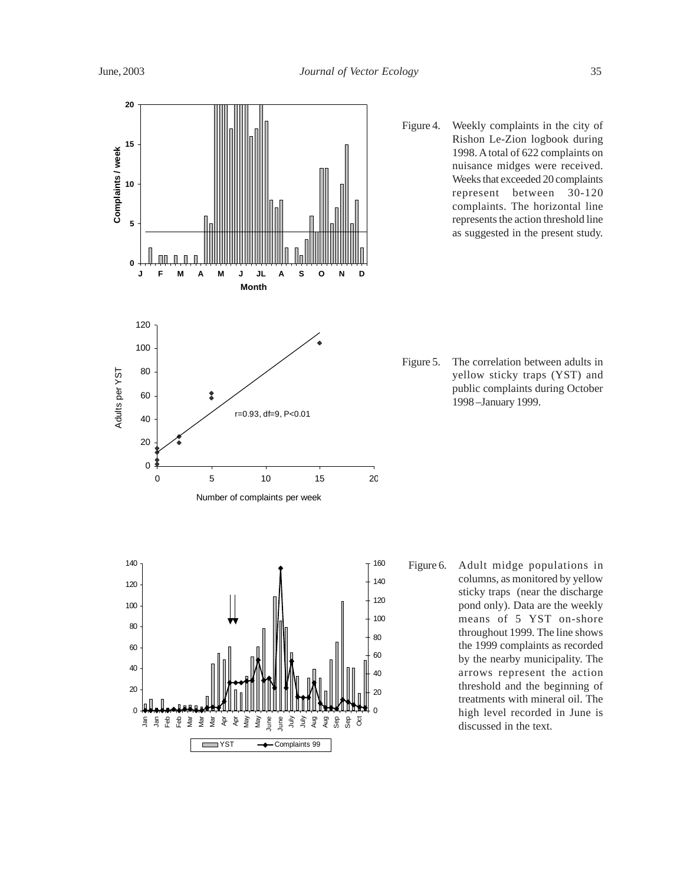**20** Figure 4. Weekly complaints in the city of Rishon Le-Zion logbook during **15** Complaints / week **Complaints / week**  1998. A total of 622 complaints on nuisance midges were received. Weeks that exceeded 20 complaints **10** represent between 30-120 complaints. The horizontal line represents the action threshold line **5** as suggested in the present study.**0 J F M A M J JL A S O N D Month** 120 100 Figure 5. The correlation between adults in Adults per YST 80 Adults per YST yellow sticky traps (YST) and public complaints during October 60  $\hat{\mathbf{x}}$ 1998 –January 1999. r=0.93, df=9, P<0.01 40 20 0 0 5 10 15 20 Number of complaints per week 140 160 Figure 6. Adult midge populations in columns, as monitored by yellow 140 120 sticky traps (near the discharge 120 100 pond only). Data are the weekly 100 means of 5 YST on-shore 80 throughout 1999. The line shows 80 the 1999 complaints as recorded 60 60 by the nearby municipality. The 40 arrows represent the action  $40$ threshold and the beginning of 20  $\overline{20}$ treatments with mineral oil. The 0  $\Omega$ high level recorded in June is Feb g<br>Fa Feb Mar Mar Mar Apr Apr  $\tilde{g}$ Ma<sub>y</sub> June June ミ ミ Aug Aug Sep Sep Oct discussed in the text.

YST - Complaints 99